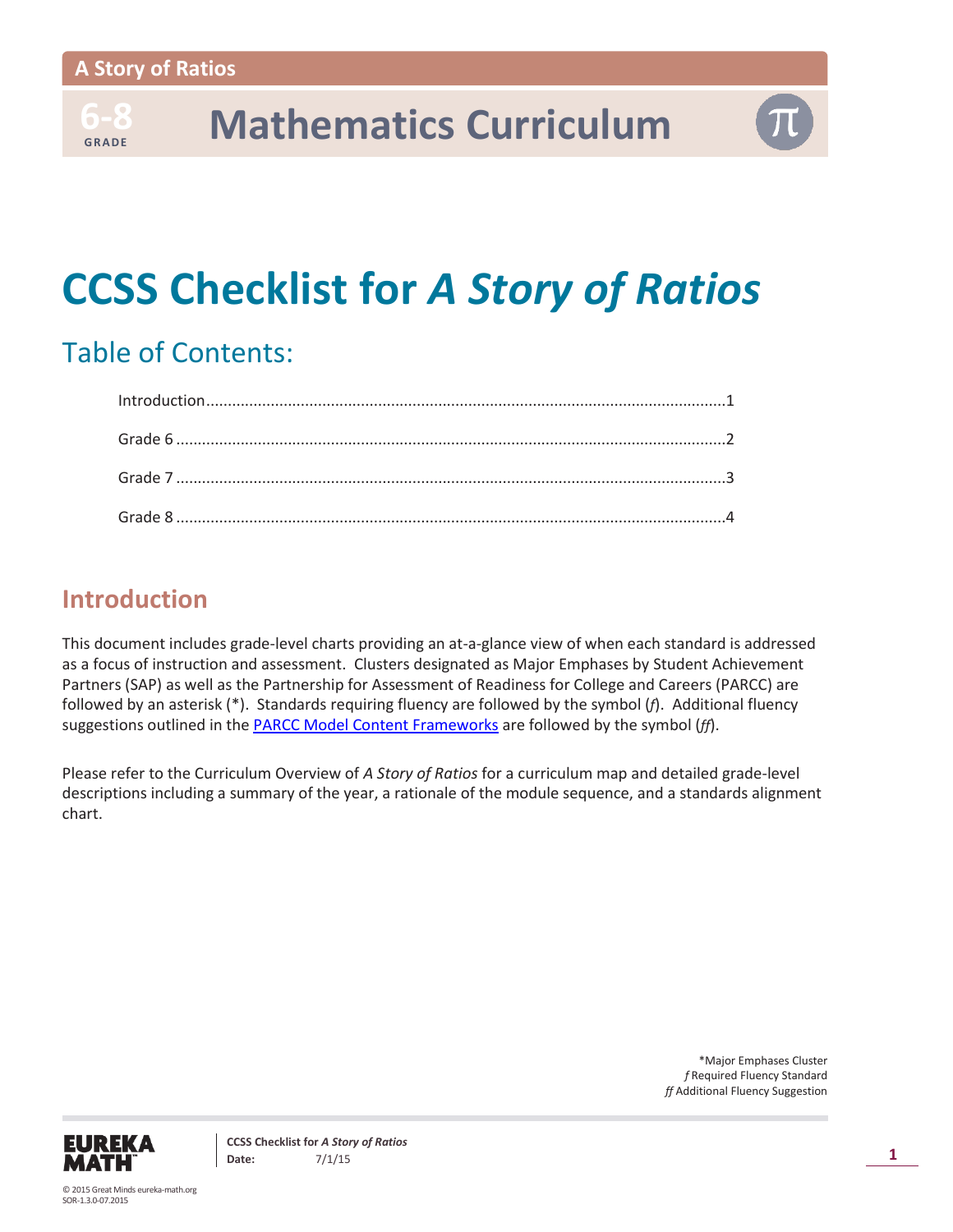**6-8** 

## **-8 Mathematics Curriculum**

## **CCSS Checklist for** *A Story of Ratios*

## Table of Contents:

## **Introduction**

This document includes grade-level charts providing an at-a-glance view of when each standard is addressed as a focus of instruction and assessment. Clusters designated as Major Emphases by Student Achievement Partners (SAP) as well as the Partnership for Assessment of Readiness for College and Careers (PARCC) are followed by an asterisk (\*). Standards requiring fluency are followed by the symbol (*f*). Additional fluency suggestions outlined in the [PARCC Model Content Frameworks](http://www.parcconline.org/sites/parcc/files/PARCC_MCF_Mathematics-12-11-2014.pdf) are followed by the symbol (*ff*).

Please refer to the Curriculum Overview of *A Story of Ratios* for a curriculum map and detailed grade-level descriptions including a summary of the year, a rationale of the module sequence, and a standards alignment chart.

> \*Major Emphases Cluster *f* Required Fluency Standard *ff* Additional Fluency Suggestion

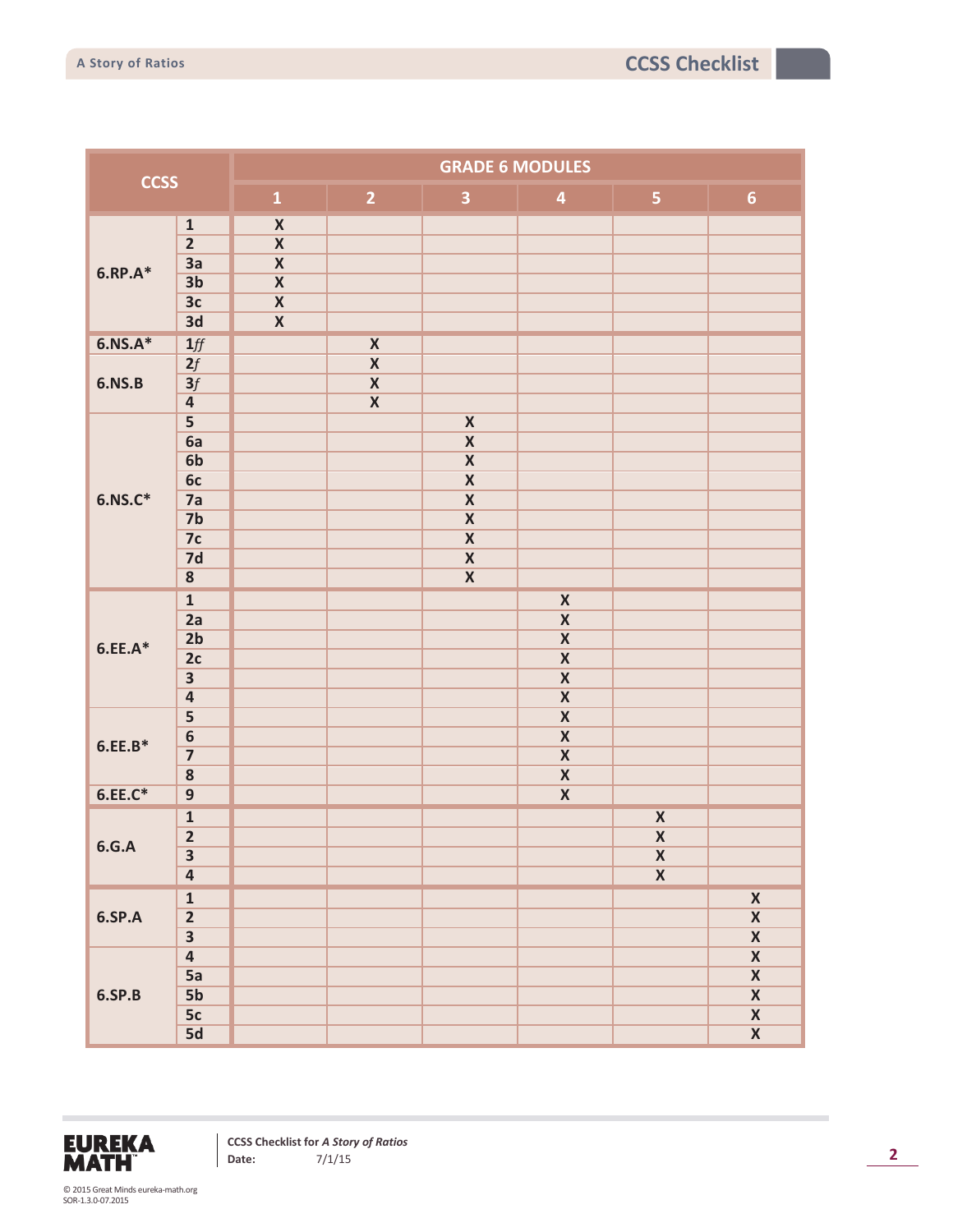| <b>CCSS</b>    |                         | <b>GRADE 6 MODULES</b>  |                         |                         |                         |                                               |                         |  |
|----------------|-------------------------|-------------------------|-------------------------|-------------------------|-------------------------|-----------------------------------------------|-------------------------|--|
|                |                         | $\mathbf{1}$            | $\overline{2}$          | $\overline{\mathbf{3}}$ | $\overline{\mathbf{4}}$ | 5 <sub>1</sub>                                | $\boldsymbol{6}$        |  |
|                | $\mathbf 1$             | $\pmb{\mathsf{X}}$      |                         |                         |                         |                                               |                         |  |
| $6.$ RP. $A^*$ | $\overline{2}$          | $\overline{\textbf{X}}$ |                         |                         |                         |                                               |                         |  |
|                | 3a                      | $\overline{\textbf{X}}$ |                         |                         |                         |                                               |                         |  |
|                | 3 <sub>b</sub>          | $\overline{\textbf{X}}$ |                         |                         |                         |                                               |                         |  |
|                | 3c                      | $\overline{\textbf{X}}$ |                         |                         |                         |                                               |                         |  |
|                | 3d                      | $\overline{\textbf{X}}$ |                         |                         |                         |                                               |                         |  |
| $6.NS.A*$      | $1/f$                   |                         | $\pmb{\mathsf{X}}$      |                         |                         |                                               |                         |  |
|                | 2f                      |                         | $\pmb{\mathsf{X}}$      |                         |                         |                                               |                         |  |
| <b>6.NS.B</b>  | 3f                      |                         | $\overline{\mathbf{X}}$ |                         |                         |                                               |                         |  |
|                | $\overline{\mathbf{4}}$ |                         | $\overline{\textbf{X}}$ |                         |                         |                                               |                         |  |
|                | $\overline{\mathbf{5}}$ |                         |                         | $\pmb{\mathsf{X}}$      |                         |                                               |                         |  |
|                | 6a                      |                         |                         | $\overline{\textbf{X}}$ |                         |                                               |                         |  |
|                | 6 <sub>b</sub>          |                         |                         | $\overline{\textbf{X}}$ |                         |                                               |                         |  |
|                | 6c                      |                         |                         | $\overline{\textbf{X}}$ |                         |                                               |                         |  |
| $6.NS.C*$      | 7a                      |                         |                         | $\overline{\mathbf{X}}$ |                         |                                               |                         |  |
|                | 7 <sub>b</sub>          |                         |                         | $\pmb{\mathsf{X}}$      |                         |                                               |                         |  |
|                | 7c                      |                         |                         | $\pmb{\mathsf{X}}$      |                         |                                               |                         |  |
|                | 7d                      |                         |                         | $\pmb{\mathsf{X}}$      |                         |                                               |                         |  |
|                | $\overline{\mathbf{8}}$ |                         |                         | $\overline{\textbf{X}}$ |                         |                                               |                         |  |
|                | $\mathbf{1}$            |                         |                         |                         | $\pmb{\mathsf{X}}$      |                                               |                         |  |
|                | 2a                      |                         |                         |                         | $\overline{\mathbf{X}}$ |                                               |                         |  |
|                | 2 <sub>b</sub>          |                         |                         |                         | $\overline{\mathbf{X}}$ |                                               |                         |  |
| $6.EE.A*$      | 2c                      |                         |                         |                         | $\overline{\mathbf{X}}$ |                                               |                         |  |
|                | $\overline{\mathbf{3}}$ |                         |                         |                         | $\pmb{\mathsf{X}}$      |                                               |                         |  |
|                | $\overline{\mathbf{a}}$ |                         |                         |                         | $\overline{\textbf{X}}$ |                                               |                         |  |
|                | 5                       |                         |                         |                         | $\overline{\textbf{X}}$ |                                               |                         |  |
|                | $\boldsymbol{6}$        |                         |                         |                         | $\pmb{\mathsf{X}}$      |                                               |                         |  |
| $6.EE.B*$      | $\overline{\mathbf{z}}$ |                         |                         |                         | $\pmb{\mathsf{X}}$      |                                               |                         |  |
|                | ${\bf 8}$               |                         |                         |                         | $\overline{\textbf{X}}$ |                                               |                         |  |
| $6.EE.C*$      | $\overline{9}$          |                         |                         |                         | $\overline{\textbf{X}}$ |                                               |                         |  |
|                | $\mathbf 1$             |                         |                         |                         |                         |                                               |                         |  |
|                | $\overline{2}$          |                         |                         |                         |                         | $\pmb{\mathsf{X}}$<br>$\overline{\textbf{X}}$ |                         |  |
| 6.G.A          | $\overline{\mathbf{3}}$ |                         |                         |                         |                         |                                               |                         |  |
| <b>6.SP.A</b>  | $\overline{\mathbf{4}}$ |                         |                         |                         |                         | $\mathsf{X}$<br>$\overline{\textbf{X}}$       |                         |  |
|                |                         |                         |                         |                         |                         |                                               |                         |  |
|                | $\overline{\mathbf{1}}$ |                         |                         |                         |                         |                                               | $\overline{\mathbf{X}}$ |  |
|                | $\overline{2}$          |                         |                         |                         |                         |                                               | $\overline{\mathbf{X}}$ |  |
|                | $\overline{\mathbf{3}}$ |                         |                         |                         |                         |                                               | $\overline{\mathbf{X}}$ |  |
|                | $\overline{4}$          |                         |                         |                         |                         |                                               | $\overline{\mathbf{X}}$ |  |
| 6.SP.B         | 5a                      |                         |                         |                         |                         |                                               | $\overline{\mathbf{X}}$ |  |
|                | 5 <sub>b</sub>          |                         |                         |                         |                         |                                               | $\overline{\mathbf{X}}$ |  |
|                | 5c                      |                         |                         |                         |                         |                                               | $\overline{\mathbf{X}}$ |  |
|                | 5d                      |                         |                         |                         |                         |                                               | $\overline{\mathbf{X}}$ |  |

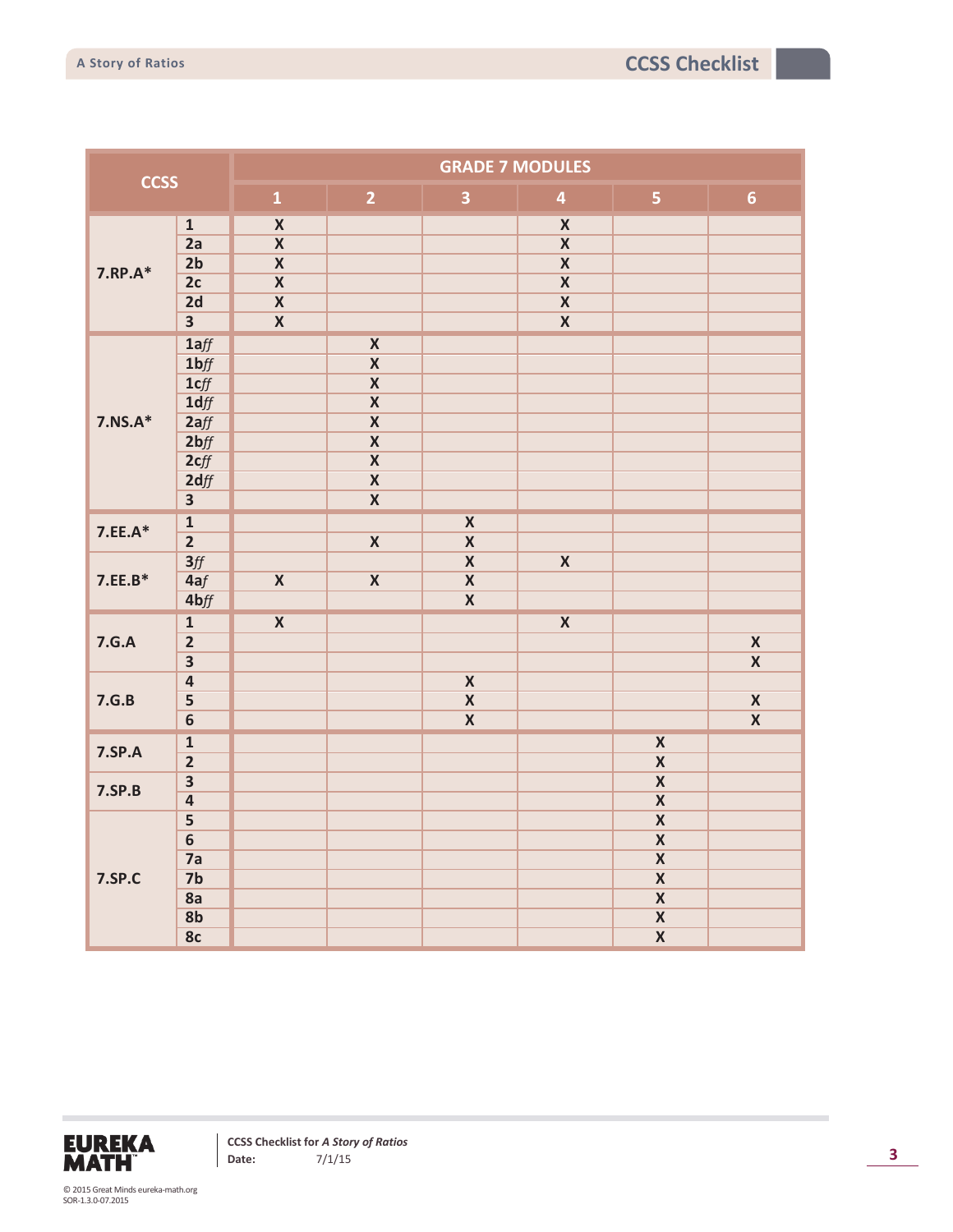| <b>CCSS</b>   |                         | <b>GRADE 7 MODULES</b>  |                         |                         |                         |                         |                         |  |  |
|---------------|-------------------------|-------------------------|-------------------------|-------------------------|-------------------------|-------------------------|-------------------------|--|--|
|               |                         | $\mathbf{1}$            | $\overline{2}$          | $\overline{\mathbf{3}}$ | $\overline{\mathbf{4}}$ | $\overline{\mathbf{5}}$ | $6\phantom{a}$          |  |  |
| 7.RP.A*       | $\overline{\mathbf{1}}$ | $\overline{\mathbf{X}}$ |                         |                         | $\overline{\textbf{X}}$ |                         |                         |  |  |
|               | 2a                      | $\overline{\textbf{X}}$ |                         |                         | $\overline{\textbf{X}}$ |                         |                         |  |  |
|               | 2 <sub>b</sub>          | $\overline{\textbf{X}}$ |                         |                         | $\overline{\mathbf{X}}$ |                         |                         |  |  |
|               | 2c                      | $\overline{\textbf{X}}$ |                         |                         | $\overline{\mathbf{X}}$ |                         |                         |  |  |
|               | 2d                      | $\overline{\textbf{X}}$ |                         |                         | $\overline{\textbf{X}}$ |                         |                         |  |  |
|               | $\overline{\mathbf{3}}$ | $\overline{\textbf{X}}$ |                         |                         | $\overline{\mathbf{X}}$ |                         |                         |  |  |
|               | 1aff                    |                         | $\overline{\textbf{X}}$ |                         |                         |                         |                         |  |  |
|               | 1 <sub>bf</sub>         |                         | $\overline{\mathbf{X}}$ |                         |                         |                         |                         |  |  |
|               | 1cff                    |                         | $\overline{\mathbf{X}}$ |                         |                         |                         |                         |  |  |
|               | 1 dff                   |                         | $\overline{\textbf{X}}$ |                         |                         |                         |                         |  |  |
| $7.NS.A*$     | 2aff                    |                         | $\overline{\textbf{X}}$ |                         |                         |                         |                         |  |  |
|               | 2 <sub>bf</sub>         |                         | $\overline{\textbf{X}}$ |                         |                         |                         |                         |  |  |
|               | 2cff                    |                         | $\overline{\mathbf{X}}$ |                         |                         |                         |                         |  |  |
|               | 2dff                    |                         | $\overline{\mathbf{X}}$ |                         |                         |                         |                         |  |  |
|               | $\overline{\mathbf{3}}$ |                         | $\overline{\mathbf{X}}$ |                         |                         |                         |                         |  |  |
| $7.EE.A*$     | $\overline{\mathbf{1}}$ |                         |                         | $\overline{\textbf{X}}$ |                         |                         |                         |  |  |
|               | $\overline{2}$          |                         | $\overline{\mathbf{X}}$ | $\overline{\mathbf{X}}$ |                         |                         |                         |  |  |
|               | 3/f                     |                         |                         | $\overline{\textbf{X}}$ | $\overline{\textbf{X}}$ |                         |                         |  |  |
| $7.EE.B*$     | 4af                     | $\overline{\textbf{X}}$ | $\overline{\textbf{X}}$ | $\overline{\textbf{X}}$ |                         |                         |                         |  |  |
|               | 4bff                    |                         |                         | $\overline{\textbf{X}}$ |                         |                         |                         |  |  |
|               | $\mathbf{1}$            | $\overline{\textbf{X}}$ |                         |                         | $\overline{\textbf{X}}$ |                         |                         |  |  |
| 7.G.A         | $\overline{2}$          |                         |                         |                         |                         |                         | $\overline{\textbf{X}}$ |  |  |
|               | $\overline{\mathbf{3}}$ |                         |                         |                         |                         |                         | $\overline{\mathbf{x}}$ |  |  |
|               | $\overline{4}$          |                         |                         | $\overline{\mathbf{X}}$ |                         |                         |                         |  |  |
| 7.G.B         | $\overline{\mathbf{5}}$ |                         |                         | $\overline{\mathbf{X}}$ |                         |                         | $\overline{\mathbf{X}}$ |  |  |
|               | $6\overline{}$          |                         |                         | $\overline{\textbf{X}}$ |                         |                         | $\overline{\textbf{X}}$ |  |  |
|               | $\overline{\mathbf{1}}$ |                         |                         |                         |                         | $\overline{\textbf{X}}$ |                         |  |  |
| <b>7.SP.A</b> | $\overline{2}$          |                         |                         |                         |                         | $\overline{\textbf{X}}$ |                         |  |  |
| <b>7.SP.B</b> | $\overline{\mathbf{3}}$ |                         |                         |                         |                         | $\overline{\mathbf{X}}$ |                         |  |  |
|               | $\overline{4}$          |                         |                         |                         |                         | $\overline{\mathbf{X}}$ |                         |  |  |
| <b>7.SP.C</b> | $\overline{\mathbf{5}}$ |                         |                         |                         |                         | $\overline{\mathbf{X}}$ |                         |  |  |
|               | $\overline{6}$          |                         |                         |                         |                         | $\overline{\mathbf{X}}$ |                         |  |  |
|               | 7a                      |                         |                         |                         |                         | $\overline{\textbf{X}}$ |                         |  |  |
|               | 7 <sub>b</sub>          |                         |                         |                         |                         | $\overline{\mathbf{X}}$ |                         |  |  |
|               | 8a                      |                         |                         |                         |                         | $\overline{\textbf{X}}$ |                         |  |  |
|               | 8 <sub>b</sub>          |                         |                         |                         |                         | $\overline{\mathbf{X}}$ |                         |  |  |
|               | 8c                      |                         |                         |                         |                         | $\overline{\mathbf{x}}$ |                         |  |  |